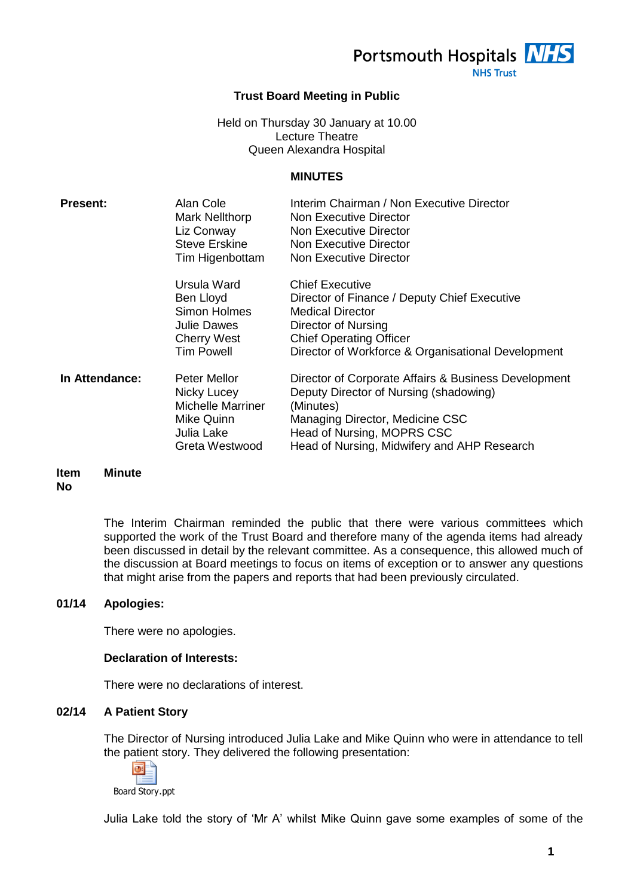Portsmouth Hospitals **NHS** 

**NHS Trust** 

# **Trust Board Meeting in Public**

# Held on Thursday 30 January at 10.00 Lecture Theatre Queen Alexandra Hospital

# **MINUTES**

| <b>Present:</b> | Alan Cole<br><b>Mark Nellthorp</b><br>Liz Conway<br><b>Steve Erskine</b><br>Tim Higenbottam               | Interim Chairman / Non Executive Director<br>Non Executive Director<br>Non Executive Director<br>Non Executive Director<br>Non Executive Director                                                                           |
|-----------------|-----------------------------------------------------------------------------------------------------------|-----------------------------------------------------------------------------------------------------------------------------------------------------------------------------------------------------------------------------|
|                 | Ursula Ward<br>Ben Lloyd<br><b>Simon Holmes</b><br><b>Julie Dawes</b><br><b>Cherry West</b><br>Tim Powell | <b>Chief Executive</b><br>Director of Finance / Deputy Chief Executive<br><b>Medical Director</b><br>Director of Nursing<br><b>Chief Operating Officer</b><br>Director of Workforce & Organisational Development            |
| In Attendance:  | Peter Mellor<br>Nicky Lucey<br><b>Michelle Marriner</b><br>Mike Quinn<br>Julia Lake<br>Greta Westwood     | Director of Corporate Affairs & Business Development<br>Deputy Director of Nursing (shadowing)<br>(Minutes)<br>Managing Director, Medicine CSC<br>Head of Nursing, MOPRS CSC<br>Head of Nursing, Midwifery and AHP Research |

#### **Item No Minute**

The Interim Chairman reminded the public that there were various committees which supported the work of the Trust Board and therefore many of the agenda items had already been discussed in detail by the relevant committee. As a consequence, this allowed much of the discussion at Board meetings to focus on items of exception or to answer any questions that might arise from the papers and reports that had been previously circulated.

# **01/14 Apologies:**

There were no apologies.

# **Declaration of Interests:**

There were no declarations of interest.

# **02/14 A Patient Story**

The Director of Nursing introduced Julia Lake and Mike Quinn who were in attendance to tell the patient story. They delivered the following presentation:



Board Story.ppt

Julia Lake told the story of 'Mr A' whilst Mike Quinn gave some examples of some of the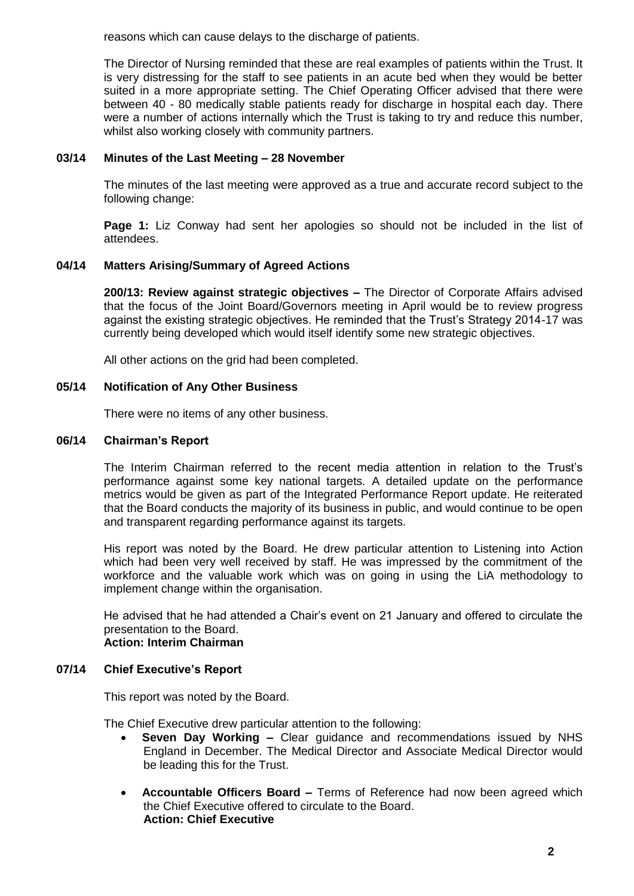reasons which can cause delays to the discharge of patients.

The Director of Nursing reminded that these are real examples of patients within the Trust. It is very distressing for the staff to see patients in an acute bed when they would be better suited in a more appropriate setting. The Chief Operating Officer advised that there were between 40 - 80 medically stable patients ready for discharge in hospital each day. There were a number of actions internally which the Trust is taking to try and reduce this number, whilst also working closely with community partners.

# **03/14 Minutes of the Last Meeting – 28 November**

The minutes of the last meeting were approved as a true and accurate record subject to the following change:

**Page 1:** Liz Conway had sent her apologies so should not be included in the list of attendees.

# **04/14 Matters Arising/Summary of Agreed Actions**

**200/13: Review against strategic objectives –** The Director of Corporate Affairs advised that the focus of the Joint Board/Governors meeting in April would be to review progress against the existing strategic objectives. He reminded that the Trust's Strategy 2014-17 was currently being developed which would itself identify some new strategic objectives.

All other actions on the grid had been completed.

# **05/14 Notification of Any Other Business**

There were no items of any other business.

# **06/14 Chairman's Report**

The Interim Chairman referred to the recent media attention in relation to the Trust's performance against some key national targets. A detailed update on the performance metrics would be given as part of the Integrated Performance Report update. He reiterated that the Board conducts the majority of its business in public, and would continue to be open and transparent regarding performance against its targets.

His report was noted by the Board. He drew particular attention to Listening into Action which had been very well received by staff. He was impressed by the commitment of the workforce and the valuable work which was on going in using the LiA methodology to implement change within the organisation.

He advised that he had attended a Chair's event on 21 January and offered to circulate the presentation to the Board. **Action: Interim Chairman**

# **07/14 Chief Executive's Report**

This report was noted by the Board.

The Chief Executive drew particular attention to the following:

- **Seven Day Working –** Clear guidance and recommendations issued by NHS England in December. The Medical Director and Associate Medical Director would be leading this for the Trust.
- **Accountable Officers Board –** Terms of Reference had now been agreed which the Chief Executive offered to circulate to the Board. **Action: Chief Executive**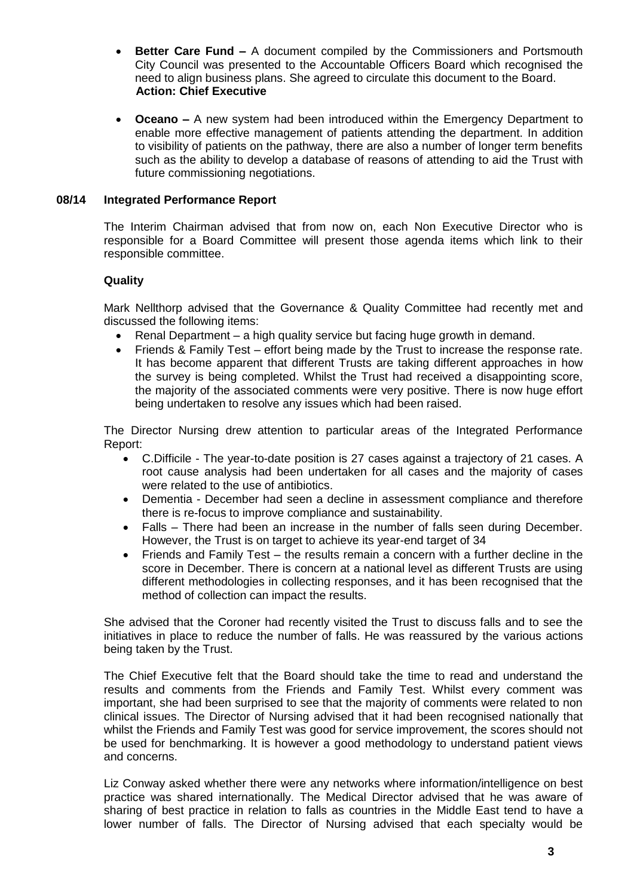- **Better Care Fund –** A document compiled by the Commissioners and Portsmouth City Council was presented to the Accountable Officers Board which recognised the need to align business plans. She agreed to circulate this document to the Board. **Action: Chief Executive**
- **Oceano –** A new system had been introduced within the Emergency Department to enable more effective management of patients attending the department. In addition to visibility of patients on the pathway, there are also a number of longer term benefits such as the ability to develop a database of reasons of attending to aid the Trust with future commissioning negotiations.

# **08/14 Integrated Performance Report**

The Interim Chairman advised that from now on, each Non Executive Director who is responsible for a Board Committee will present those agenda items which link to their responsible committee.

# **Quality**

Mark Nellthorp advised that the Governance & Quality Committee had recently met and discussed the following items:

- Renal Department a high quality service but facing huge growth in demand.
- Friends & Family Test effort being made by the Trust to increase the response rate. It has become apparent that different Trusts are taking different approaches in how the survey is being completed. Whilst the Trust had received a disappointing score, the majority of the associated comments were very positive. There is now huge effort being undertaken to resolve any issues which had been raised.

The Director Nursing drew attention to particular areas of the Integrated Performance Report:

- C.Difficile The year-to-date position is 27 cases against a trajectory of 21 cases. A root cause analysis had been undertaken for all cases and the majority of cases were related to the use of antibiotics.
- Dementia December had seen a decline in assessment compliance and therefore there is re-focus to improve compliance and sustainability.
- Falls There had been an increase in the number of falls seen during December. However, the Trust is on target to achieve its year-end target of 34
- Friends and Family Test the results remain a concern with a further decline in the score in December. There is concern at a national level as different Trusts are using different methodologies in collecting responses, and it has been recognised that the method of collection can impact the results.

She advised that the Coroner had recently visited the Trust to discuss falls and to see the initiatives in place to reduce the number of falls. He was reassured by the various actions being taken by the Trust.

The Chief Executive felt that the Board should take the time to read and understand the results and comments from the Friends and Family Test. Whilst every comment was important, she had been surprised to see that the majority of comments were related to non clinical issues. The Director of Nursing advised that it had been recognised nationally that whilst the Friends and Family Test was good for service improvement, the scores should not be used for benchmarking. It is however a good methodology to understand patient views and concerns.

Liz Conway asked whether there were any networks where information/intelligence on best practice was shared internationally. The Medical Director advised that he was aware of sharing of best practice in relation to falls as countries in the Middle East tend to have a lower number of falls. The Director of Nursing advised that each specialty would be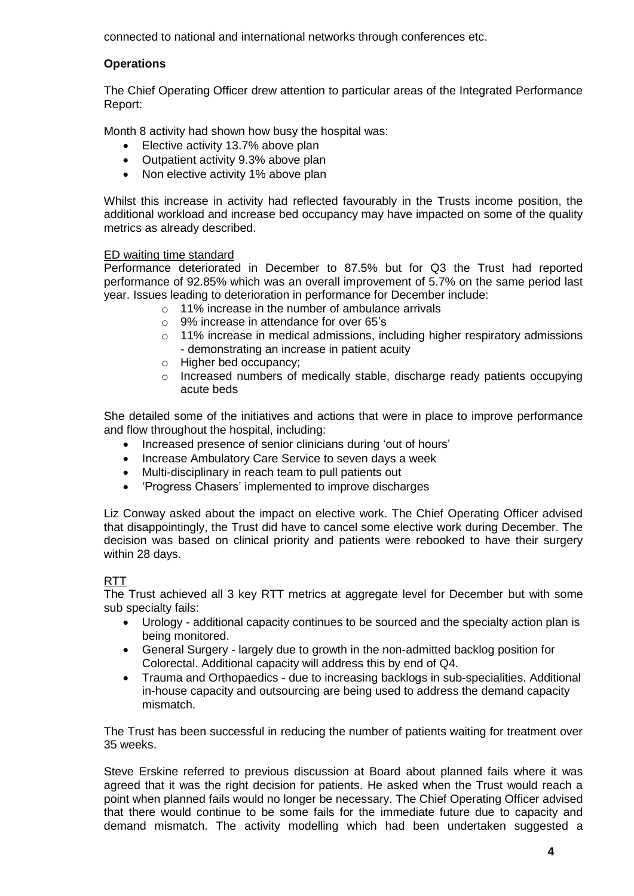connected to national and international networks through conferences etc.

# **Operations**

The Chief Operating Officer drew attention to particular areas of the Integrated Performance Report:

Month 8 activity had shown how busy the hospital was:

- Elective activity 13.7% above plan
- Outpatient activity 9.3% above plan
- Non elective activity 1% above plan

Whilst this increase in activity had reflected favourably in the Trusts income position, the additional workload and increase bed occupancy may have impacted on some of the quality metrics as already described.

#### ED waiting time standard

Performance deteriorated in December to 87.5% but for Q3 the Trust had reported performance of 92.85% which was an overall improvement of 5.7% on the same period last year. Issues leading to deterioration in performance for December include:

- o 11% increase in the number of ambulance arrivals
- o 9% increase in attendance for over 65's
- $\circ$  11% increase in medical admissions, including higher respiratory admissions - demonstrating an increase in patient acuity
- o Higher bed occupancy;
- o Increased numbers of medically stable, discharge ready patients occupying acute beds

She detailed some of the initiatives and actions that were in place to improve performance and flow throughout the hospital, including:

- Increased presence of senior clinicians during 'out of hours'
- Increase Ambulatory Care Service to seven days a week
- Multi-disciplinary in reach team to pull patients out
- 'Progress Chasers' implemented to improve discharges

Liz Conway asked about the impact on elective work. The Chief Operating Officer advised that disappointingly, the Trust did have to cancel some elective work during December. The decision was based on clinical priority and patients were rebooked to have their surgery within 28 days.

#### **RTT**

The Trust achieved all 3 key RTT metrics at aggregate level for December but with some sub specialty fails:

- Urology additional capacity continues to be sourced and the specialty action plan is being monitored.
- General Surgery largely due to growth in the non-admitted backlog position for Colorectal. Additional capacity will address this by end of Q4.
- Trauma and Orthopaedics due to increasing backlogs in sub-specialities. Additional in-house capacity and outsourcing are being used to address the demand capacity mismatch.

The Trust has been successful in reducing the number of patients waiting for treatment over 35 weeks.

Steve Erskine referred to previous discussion at Board about planned fails where it was agreed that it was the right decision for patients. He asked when the Trust would reach a point when planned fails would no longer be necessary. The Chief Operating Officer advised that there would continue to be some fails for the immediate future due to capacity and demand mismatch. The activity modelling which had been undertaken suggested a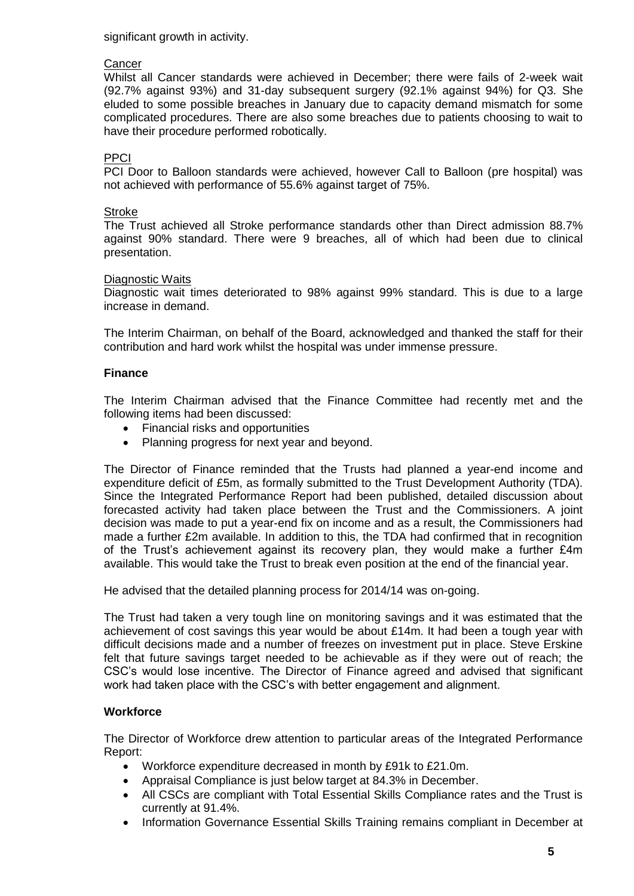significant growth in activity.

# **Cancer**

Whilst all Cancer standards were achieved in December; there were fails of 2-week wait (92.7% against 93%) and 31-day subsequent surgery (92.1% against 94%) for Q3. She eluded to some possible breaches in January due to capacity demand mismatch for some complicated procedures. There are also some breaches due to patients choosing to wait to have their procedure performed robotically.

# PPCI

PCI Door to Balloon standards were achieved, however Call to Balloon (pre hospital) was not achieved with performance of 55.6% against target of 75%.

# **Stroke**

The Trust achieved all Stroke performance standards other than Direct admission 88.7% against 90% standard. There were 9 breaches, all of which had been due to clinical presentation.

# Diagnostic Waits

Diagnostic wait times deteriorated to 98% against 99% standard. This is due to a large increase in demand.

The Interim Chairman, on behalf of the Board, acknowledged and thanked the staff for their contribution and hard work whilst the hospital was under immense pressure.

# **Finance**

The Interim Chairman advised that the Finance Committee had recently met and the following items had been discussed:

- Financial risks and opportunities
- Planning progress for next year and beyond.

The Director of Finance reminded that the Trusts had planned a year-end income and expenditure deficit of £5m, as formally submitted to the Trust Development Authority (TDA). Since the Integrated Performance Report had been published, detailed discussion about forecasted activity had taken place between the Trust and the Commissioners. A joint decision was made to put a year-end fix on income and as a result, the Commissioners had made a further £2m available. In addition to this, the TDA had confirmed that in recognition of the Trust's achievement against its recovery plan, they would make a further £4m available. This would take the Trust to break even position at the end of the financial year.

He advised that the detailed planning process for 2014/14 was on-going.

The Trust had taken a very tough line on monitoring savings and it was estimated that the achievement of cost savings this year would be about £14m. It had been a tough year with difficult decisions made and a number of freezes on investment put in place. Steve Erskine felt that future savings target needed to be achievable as if they were out of reach; the CSC's would lose incentive. The Director of Finance agreed and advised that significant work had taken place with the CSC's with better engagement and alignment.

# **Workforce**

The Director of Workforce drew attention to particular areas of the Integrated Performance Report:

- Workforce expenditure decreased in month by £91k to £21.0m.
- Appraisal Compliance is just below target at 84.3% in December.
- All CSCs are compliant with Total Essential Skills Compliance rates and the Trust is currently at 91.4%.
- Information Governance Essential Skills Training remains compliant in December at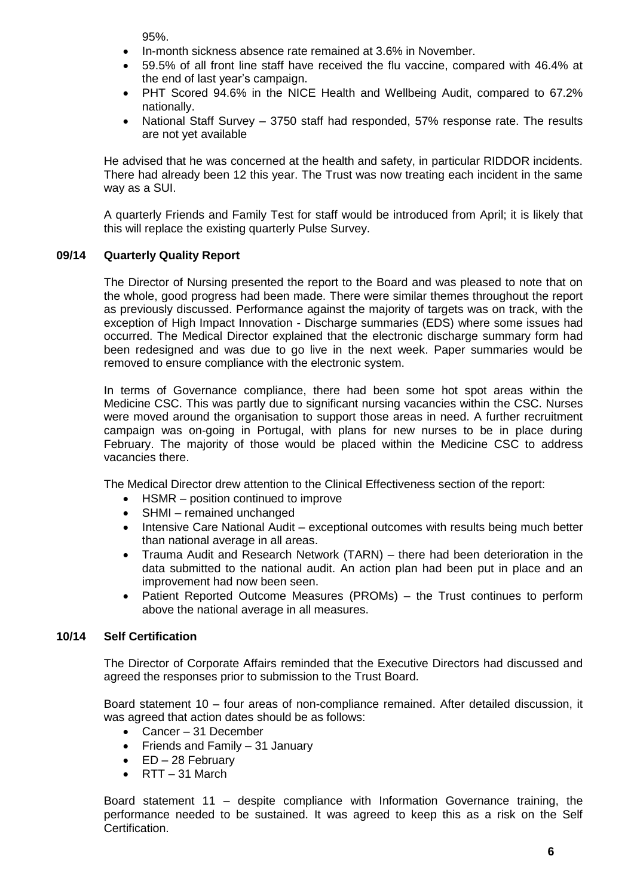95%.

- In-month sickness absence rate remained at 3.6% in November.
- 59.5% of all front line staff have received the flu vaccine, compared with 46.4% at the end of last year's campaign.
- PHT Scored 94.6% in the NICE Health and Wellbeing Audit, compared to 67.2% nationally.
- National Staff Survey 3750 staff had responded, 57% response rate. The results are not yet available

He advised that he was concerned at the health and safety, in particular RIDDOR incidents. There had already been 12 this year. The Trust was now treating each incident in the same way as a SUI.

A quarterly Friends and Family Test for staff would be introduced from April; it is likely that this will replace the existing quarterly Pulse Survey.

# **09/14 Quarterly Quality Report**

The Director of Nursing presented the report to the Board and was pleased to note that on the whole, good progress had been made. There were similar themes throughout the report as previously discussed. Performance against the majority of targets was on track, with the exception of High Impact Innovation - Discharge summaries (EDS) where some issues had occurred. The Medical Director explained that the electronic discharge summary form had been redesigned and was due to go live in the next week. Paper summaries would be removed to ensure compliance with the electronic system.

In terms of Governance compliance, there had been some hot spot areas within the Medicine CSC. This was partly due to significant nursing vacancies within the CSC. Nurses were moved around the organisation to support those areas in need. A further recruitment campaign was on-going in Portugal, with plans for new nurses to be in place during February. The majority of those would be placed within the Medicine CSC to address vacancies there.

The Medical Director drew attention to the Clinical Effectiveness section of the report:

- HSMR position continued to improve
- SHMI remained unchanged
- Intensive Care National Audit exceptional outcomes with results being much better than national average in all areas.
- Trauma Audit and Research Network (TARN) there had been deterioration in the data submitted to the national audit. An action plan had been put in place and an improvement had now been seen.
- Patient Reported Outcome Measures (PROMs) the Trust continues to perform above the national average in all measures.

# **10/14 Self Certification**

The Director of Corporate Affairs reminded that the Executive Directors had discussed and agreed the responses prior to submission to the Trust Board.

Board statement 10 – four areas of non-compliance remained. After detailed discussion, it was agreed that action dates should be as follows:

- Cancer 31 December
- Friends and Family 31 January
- $\bullet$  ED 28 February
- $\bullet$  RTT 31 March

Board statement 11 – despite compliance with Information Governance training, the performance needed to be sustained. It was agreed to keep this as a risk on the Self Certification.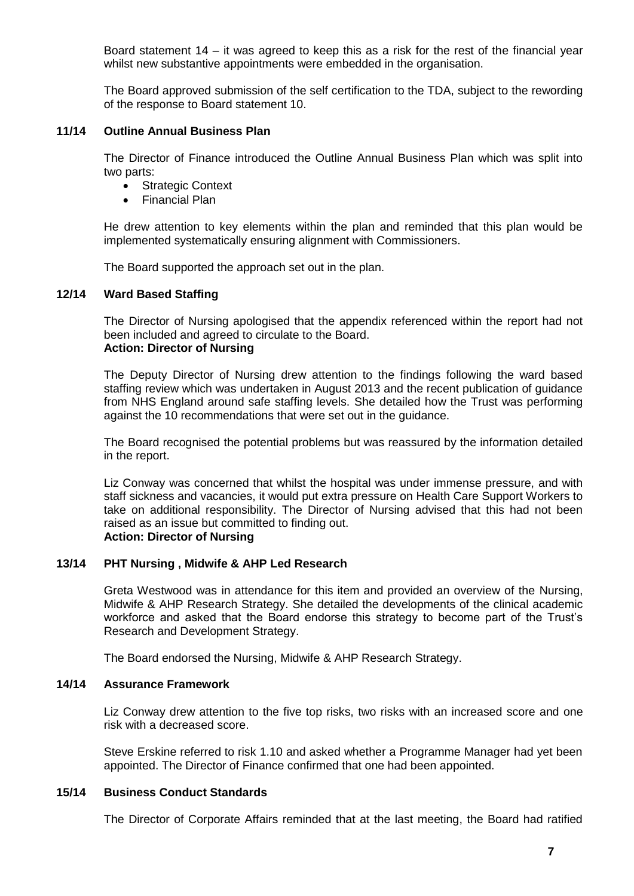Board statement 14 – it was agreed to keep this as a risk for the rest of the financial year whilst new substantive appointments were embedded in the organisation.

The Board approved submission of the self certification to the TDA, subject to the rewording of the response to Board statement 10.

# **11/14 Outline Annual Business Plan**

The Director of Finance introduced the Outline Annual Business Plan which was split into two parts:

- Strategic Context
- Financial Plan

He drew attention to key elements within the plan and reminded that this plan would be implemented systematically ensuring alignment with Commissioners.

The Board supported the approach set out in the plan.

#### **12/14 Ward Based Staffing**

The Director of Nursing apologised that the appendix referenced within the report had not been included and agreed to circulate to the Board. **Action: Director of Nursing**

The Deputy Director of Nursing drew attention to the findings following the ward based staffing review which was undertaken in August 2013 and the recent publication of guidance from NHS England around safe staffing levels. She detailed how the Trust was performing against the 10 recommendations that were set out in the guidance.

The Board recognised the potential problems but was reassured by the information detailed in the report.

Liz Conway was concerned that whilst the hospital was under immense pressure, and with staff sickness and vacancies, it would put extra pressure on Health Care Support Workers to take on additional responsibility. The Director of Nursing advised that this had not been raised as an issue but committed to finding out. **Action: Director of Nursing**

# **13/14 PHT Nursing , Midwife & AHP Led Research**

Greta Westwood was in attendance for this item and provided an overview of the Nursing, Midwife & AHP Research Strategy. She detailed the developments of the clinical academic workforce and asked that the Board endorse this strategy to become part of the Trust's Research and Development Strategy.

The Board endorsed the Nursing, Midwife & AHP Research Strategy.

#### **14/14 Assurance Framework**

Liz Conway drew attention to the five top risks, two risks with an increased score and one risk with a decreased score.

Steve Erskine referred to risk 1.10 and asked whether a Programme Manager had yet been appointed. The Director of Finance confirmed that one had been appointed.

#### **15/14 Business Conduct Standards**

The Director of Corporate Affairs reminded that at the last meeting, the Board had ratified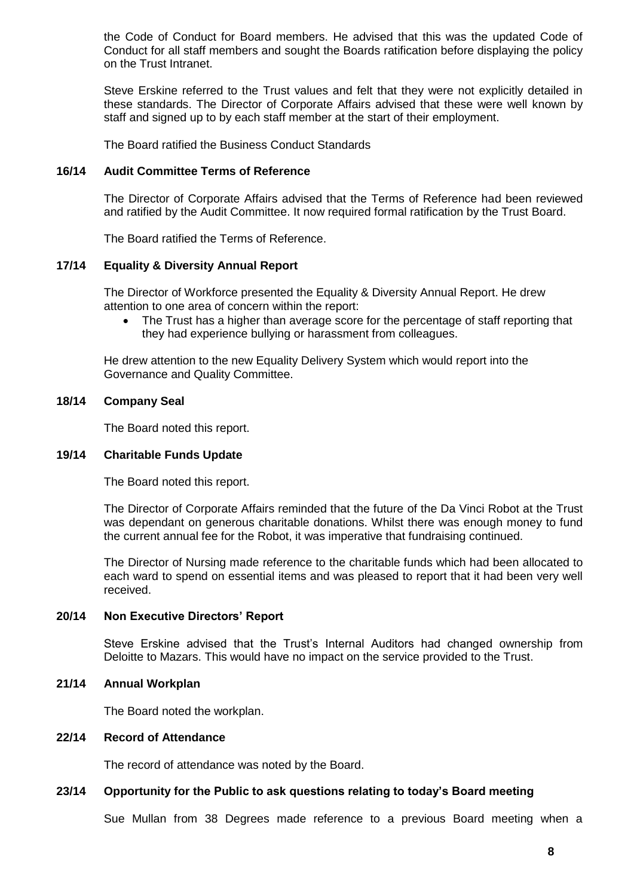the Code of Conduct for Board members. He advised that this was the updated Code of Conduct for all staff members and sought the Boards ratification before displaying the policy on the Trust Intranet.

Steve Erskine referred to the Trust values and felt that they were not explicitly detailed in these standards. The Director of Corporate Affairs advised that these were well known by staff and signed up to by each staff member at the start of their employment.

The Board ratified the Business Conduct Standards

# **16/14 Audit Committee Terms of Reference**

The Director of Corporate Affairs advised that the Terms of Reference had been reviewed and ratified by the Audit Committee. It now required formal ratification by the Trust Board.

The Board ratified the Terms of Reference.

# **17/14 Equality & Diversity Annual Report**

The Director of Workforce presented the Equality & Diversity Annual Report. He drew attention to one area of concern within the report:

• The Trust has a higher than average score for the percentage of staff reporting that they had experience bullying or harassment from colleagues.

He drew attention to the new Equality Delivery System which would report into the Governance and Quality Committee.

# **18/14 Company Seal**

The Board noted this report.

#### **19/14 Charitable Funds Update**

The Board noted this report.

The Director of Corporate Affairs reminded that the future of the Da Vinci Robot at the Trust was dependant on generous charitable donations. Whilst there was enough money to fund the current annual fee for the Robot, it was imperative that fundraising continued.

The Director of Nursing made reference to the charitable funds which had been allocated to each ward to spend on essential items and was pleased to report that it had been very well received.

#### **20/14 Non Executive Directors' Report**

Steve Erskine advised that the Trust's Internal Auditors had changed ownership from Deloitte to Mazars. This would have no impact on the service provided to the Trust.

#### **21/14 Annual Workplan**

The Board noted the workplan.

#### **22/14 Record of Attendance**

The record of attendance was noted by the Board.

#### **23/14 Opportunity for the Public to ask questions relating to today's Board meeting**

Sue Mullan from 38 Degrees made reference to a previous Board meeting when a